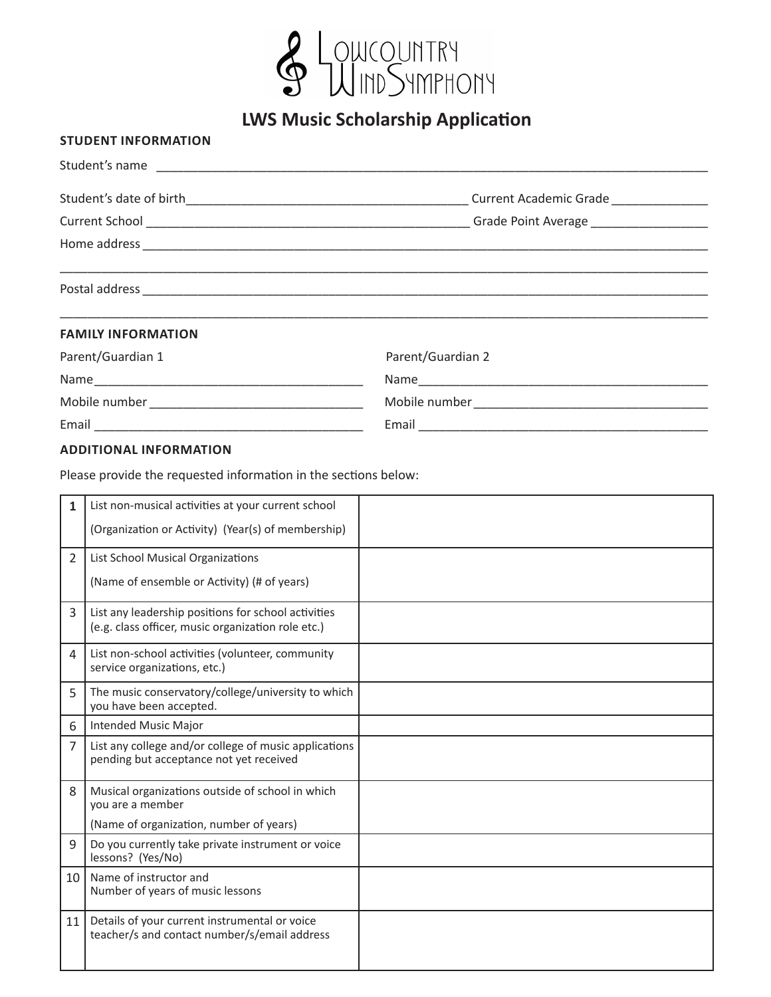

**LWS Music Scholarship Application**

## **STUDENT INFORMATION**

| Student's name            |                   |  |  |  |  |  |  |
|---------------------------|-------------------|--|--|--|--|--|--|
|                           |                   |  |  |  |  |  |  |
|                           |                   |  |  |  |  |  |  |
|                           |                   |  |  |  |  |  |  |
|                           |                   |  |  |  |  |  |  |
| <b>FAMILY INFORMATION</b> |                   |  |  |  |  |  |  |
| Parent/Guardian 1         | Parent/Guardian 2 |  |  |  |  |  |  |
|                           |                   |  |  |  |  |  |  |
|                           |                   |  |  |  |  |  |  |
|                           |                   |  |  |  |  |  |  |

## **ADDITIONAL INFORMATION**

Please provide the requested information in the sections below:

| 1  | List non-musical activities at your current school                                                        |  |
|----|-----------------------------------------------------------------------------------------------------------|--|
|    | (Organization or Activity) (Year(s) of membership)                                                        |  |
| 2  | List School Musical Organizations                                                                         |  |
|    | (Name of ensemble or Activity) (# of years)                                                               |  |
| 3  | List any leadership positions for school activities<br>(e.g. class officer, music organization role etc.) |  |
| 4  | List non-school activities (volunteer, community<br>service organizations, etc.)                          |  |
| 5  | The music conservatory/college/university to which<br>you have been accepted.                             |  |
| 6  | <b>Intended Music Major</b>                                                                               |  |
| 7  | List any college and/or college of music applications<br>pending but acceptance not yet received          |  |
| 8  | Musical organizations outside of school in which<br>you are a member                                      |  |
|    | (Name of organization, number of years)                                                                   |  |
| 9  | Do you currently take private instrument or voice<br>lessons? (Yes/No)                                    |  |
| 10 | Name of instructor and<br>Number of years of music lessons                                                |  |
| 11 | Details of your current instrumental or voice<br>teacher/s and contact number/s/email address             |  |